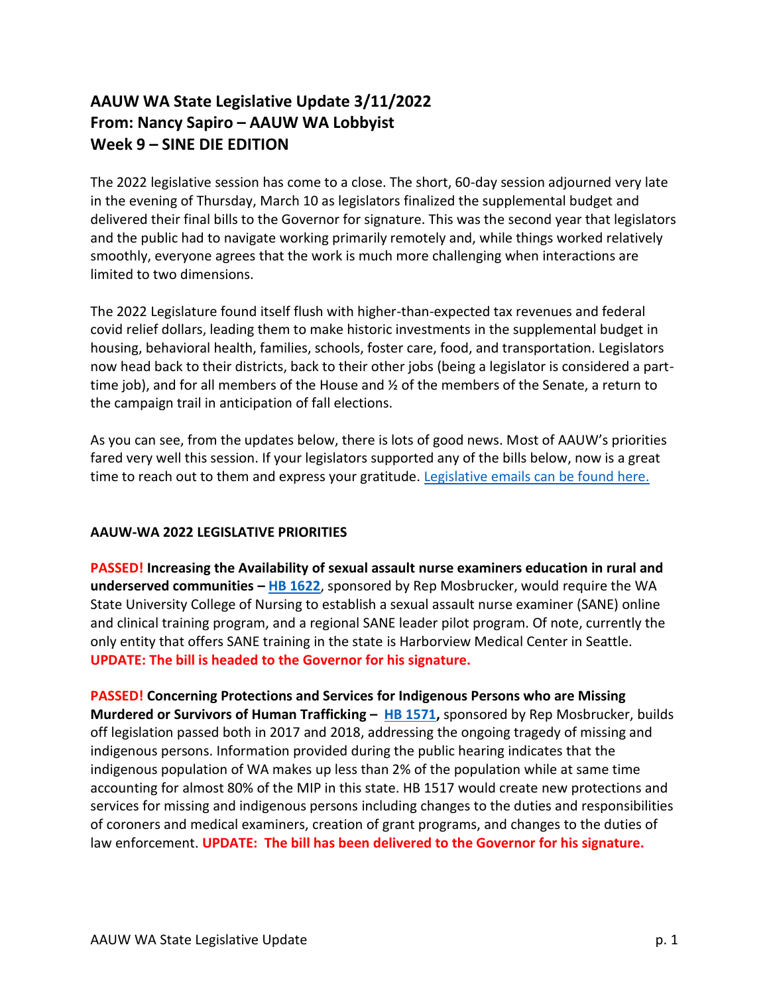## **AAUW WA State Legislative Update 3/11/2022 From: Nancy Sapiro – AAUW WA Lobbyist Week 9 – SINE DIE EDITION**

The 2022 legislative session has come to a close. The short, 60-day session adjourned very late in the evening of Thursday, March 10 as legislators finalized the supplemental budget and delivered their final bills to the Governor for signature. This was the second year that legislators and the public had to navigate working primarily remotely and, while things worked relatively smoothly, everyone agrees that the work is much more challenging when interactions are limited to two dimensions.

The 2022 Legislature found itself flush with higher-than-expected tax revenues and federal covid relief dollars, leading them to make historic investments in the supplemental budget in housing, behavioral health, families, schools, foster care, food, and transportation. Legislators now head back to their districts, back to their other jobs (being a legislator is considered a parttime job), and for all members of the House and ½ of the members of the Senate, a return to the campaign trail in anticipation of fall elections.

As you can see, from the updates below, there is lots of good news. Most of AAUW's priorities fared very well this session. If your legislators supported any of the bills below, now is a great time to reach out to them and express your gratitude. [Legislative emails can be found here.](https://app.leg.wa.gov/rosters/Members)

## **AAUW-WA 2022 LEGISLATIVE PRIORITIES**

**PASSED! Increasing the Availability of sexual assault nurse examiners education in rural and underserved communities – [HB 1622](https://app.leg.wa.gov/billsummary?BillNumber=1622&Initiative=false&Year=2021)**, sponsored by Rep Mosbrucker, would require the WA State University College of Nursing to establish a sexual assault nurse examiner (SANE) online and clinical training program, and a regional SANE leader pilot program. Of note, currently the only entity that offers SANE training in the state is Harborview Medical Center in Seattle. **UPDATE: The bill is headed to the Governor for his signature.** 

**PASSED! Concerning Protections and Services for Indigenous Persons who are Missing Murdered or Survivors of Human Trafficking – [HB 1571,](https://app.leg.wa.gov/billsummary?BillNumber=1571&Year=2021&Initiative=false)** sponsored by Rep Mosbrucker, builds off legislation passed both in 2017 and 2018, addressing the ongoing tragedy of missing and indigenous persons. Information provided during the public hearing indicates that the indigenous population of WA makes up less than 2% of the population while at same time accounting for almost 80% of the MIP in this state. HB 1517 would create new protections and services for missing and indigenous persons including changes to the duties and responsibilities of coroners and medical examiners, creation of grant programs, and changes to the duties of law enforcement. **UPDATE: The bill has been delivered to the Governor for his signature.**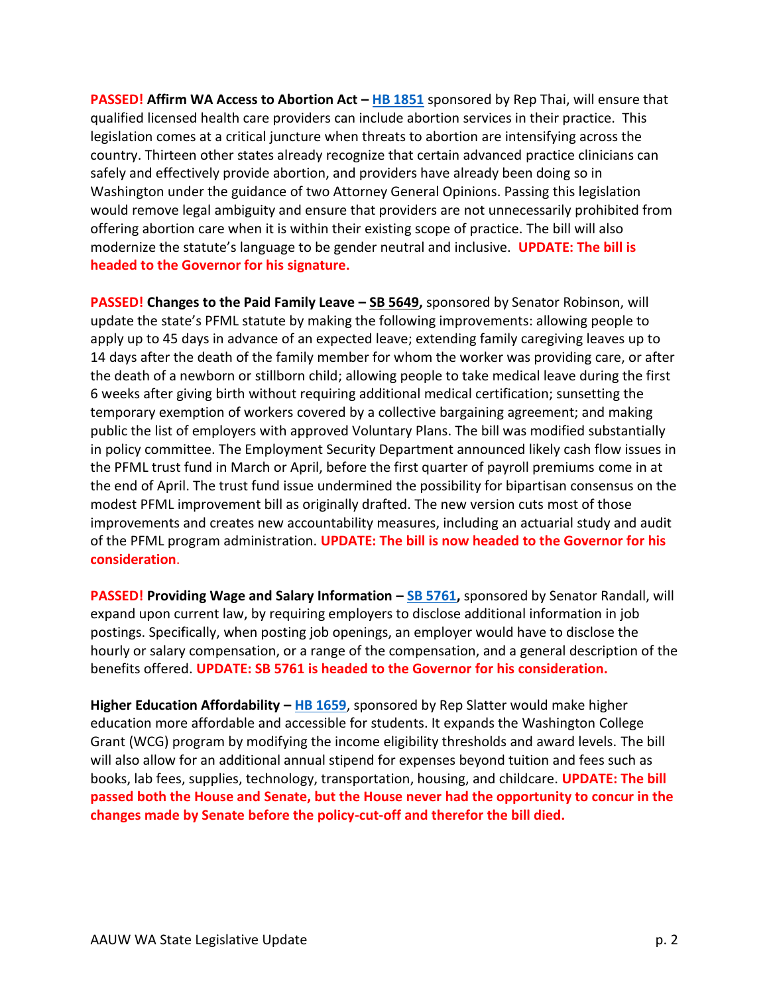**PASSED! Affirm WA Access to Abortion Act – [HB 1851](https://app.leg.wa.gov/billsummary?BillNumber=1851&Initiative=false&Year=2021) sponsored by Rep Thai, will ensure that** qualified licensed health care providers can include abortion services in their practice. This legislation comes at a critical juncture when threats to abortion are intensifying across the country. Thirteen other states already recognize that certain advanced practice clinicians can safely and effectively provide abortion, and providers have already been doing so in Washington under the guidance of two Attorney General Opinions. Passing this legislation would remove legal ambiguity and ensure that providers are not unnecessarily prohibited from offering abortion care when it is within their existing scope of practice. The bill will also modernize the statute's language to be gender neutral and inclusive. **UPDATE: The bill is headed to the Governor for his signature.**

**PASSED! Changes to the Paid Family Leave – [SB 5649,](https://app.leg.wa.gov/billsummary?BillNumber=5649&Year=2021&Initiative=false)** sponsored by Senator Robinson, will update the state's PFML statute by making the following improvements: allowing people to apply up to 45 days in advance of an expected leave; extending family caregiving leaves up to 14 days after the death of the family member for whom the worker was providing care, or after the death of a newborn or stillborn child; allowing people to take medical leave during the first 6 weeks after giving birth without requiring additional medical certification; sunsetting the temporary exemption of workers covered by a collective bargaining agreement; and making public the list of employers with approved Voluntary Plans. The bill was modified substantially in policy committee. The Employment Security Department announced likely cash flow issues in the PFML trust fund in March or April, before the first quarter of payroll premiums come in at the end of April. The trust fund issue undermined the possibility for bipartisan consensus on the modest PFML improvement bill as originally drafted. The new version cuts most of those improvements and creates new accountability measures, including an actuarial study and audit of the PFML program administration. **UPDATE: The bill is now headed to the Governor for his consideration**.

**PASSED! Providing Wage and Salary Information - [SB 5761,](https://app.leg.wa.gov/billsummary?BillNumber=5761&Year=2021&Initiative=false)** sponsored by Senator Randall, will expand upon current law, by requiring employers to disclose additional information in job postings. Specifically, when posting job openings, an employer would have to disclose the hourly or salary compensation, or a range of the compensation, and a general description of the benefits offered. **UPDATE: SB 5761 is headed to the Governor for his consideration.**

**Higher Education Affordability – [HB 1659](https://app.leg.wa.gov/billsummary?billnumber=1659&year=2022)**, sponsored by Rep Slatter would make higher education more affordable and accessible for students. It expands the Washington College Grant (WCG) program by modifying the income eligibility thresholds and award levels. The bill will also allow for an additional annual stipend for expenses beyond tuition and fees such as books, lab fees, supplies, technology, transportation, housing, and childcare. **UPDATE: The bill passed both the House and Senate, but the House never had the opportunity to concur in the changes made by Senate before the policy-cut-off and therefor the bill died.**